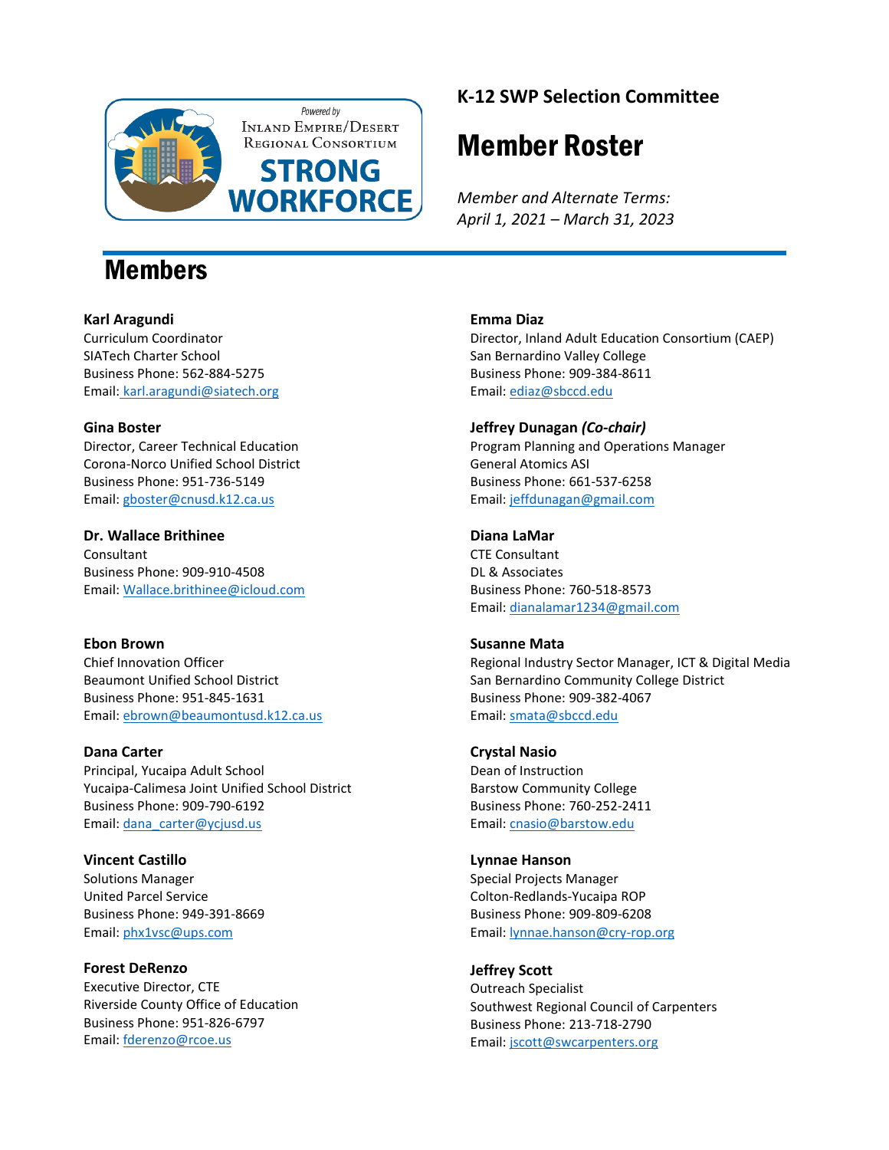

### Members

#### **Karl Aragundi**

Curriculum Coordinator SIATech Charter School Business Phone: 562-884-5275 Email: karl.aragundi@siatech.org

#### **Gina Boster**

Director, Career Technical Education Corona-Norco Unified School District Business Phone: 951-736-5149 Email: [gboster@cnusd.k12.ca.us](mailto:gboster@cnusd.k12.ca.us)

**Dr. Wallace Brithinee** Consultant Business Phone: 909-910-4508 Email: [Wallace.brithinee@icloud.com](mailto:Wallace.brithinee@icloud.com)

#### **Ebon Brown**

Chief Innovation Officer Beaumont Unified School District Business Phone: 951-845-1631 Email: [ebrown@beaumontusd.k12.ca.us](mailto:ebrown@beaumontusd.k12.ca.us)

#### **Dana Carter**

Principal, Yucaipa Adult School Yucaipa-Calimesa Joint Unified School District Business Phone: 909-790-6192 Email: [dana\\_carter@ycjusd.us](mailto:dana_carter@ycjusd.us)

**Vincent Castillo** Solutions Manager United Parcel Service Business Phone: 949-391-8669 Email: [phx1vsc@ups.com](mailto:phx1vsc@ups.com)

**Forest DeRenzo** Executive Director, CTE Riverside County Office of Education Business Phone: 951-826-6797 Email: [fderenzo@rcoe.us](mailto:fderenzo@rcoe.us)

### **K-12 SWP Selection Committee**

# Member Roster

*Member and Alternate Terms: April 1, 2021 – March 31, 2023*

#### **Emma Diaz**

Director, Inland Adult Education Consortium (CAEP) San Bernardino Valley College Business Phone: 909-384-8611 Email: [ediaz@sbccd.edu](mailto:ediaz@sbccd.edu)

#### **Jeffrey Dunagan** *(Co-chair)*

Program Planning and Operations Manager General Atomics ASI Business Phone: 661-537-6258 Email: [jeffdunagan@gmail.com](mailto:jeffdunagan@gmail.com)

#### **Diana LaMar**

CTE Consultant DL & Associates Business Phone: 760-518-8573 Email: [dianalamar1234@gmail.com](mailto:dianalamar1234@gmail.com)

#### **Susanne Mata**

Regional Industry Sector Manager, ICT & Digital Media San Bernardino Community College District Business Phone: 909-382-4067 Email: [smata@sbccd.edu](mailto:smata@sbccd.cc.ca.us)

#### **Crystal Nasio**

Dean of Instruction Barstow Community College Business Phone: 760-252-2411 Email: [cnasio@barstow.edu](mailto:cnasio@barstow.edu)

#### **Lynnae Hanson**

Special Projects Manager Colton-Redlands-Yucaipa ROP Business Phone: 909-809-6208 Email: [lynnae.hanson@cry-rop.org](mailto:lynnae.hanson@cry-rop.org)

#### **Jeffrey Scott**

Outreach Specialist Southwest Regional Council of Carpenters Business Phone: 213-718-2790 Email: [jscott@swcarpenters.org](mailto:jscott@swcarpenters.org)